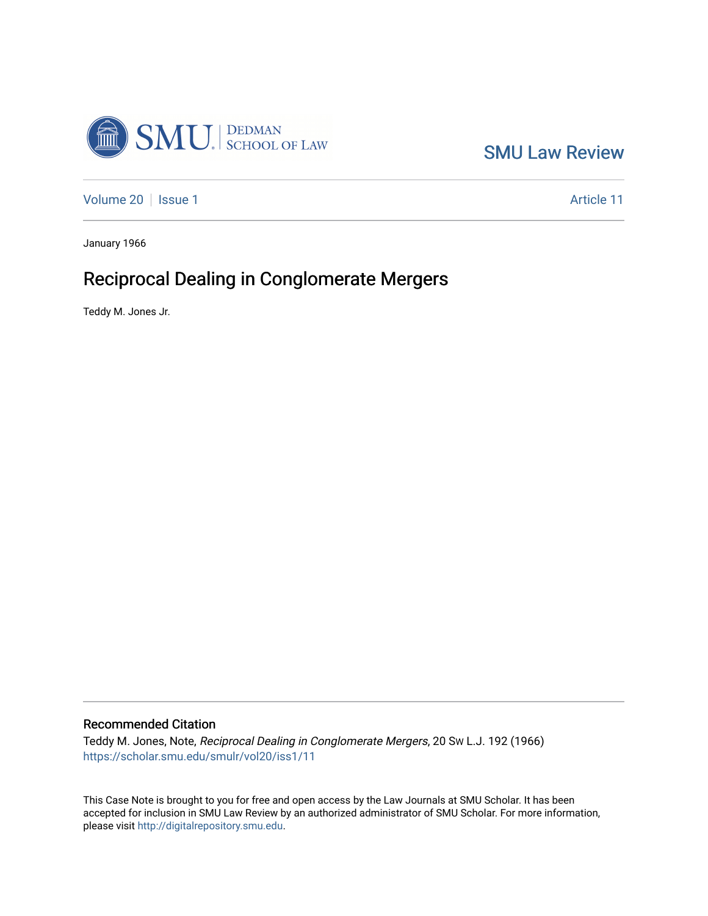

[SMU Law Review](https://scholar.smu.edu/smulr) 

[Volume 20](https://scholar.smu.edu/smulr/vol20) | [Issue 1](https://scholar.smu.edu/smulr/vol20/iss1) Article 11

January 1966

# Reciprocal Dealing in Conglomerate Mergers

Teddy M. Jones Jr.

## Recommended Citation

Teddy M. Jones, Note, Reciprocal Dealing in Conglomerate Mergers, 20 SW L.J. 192 (1966) [https://scholar.smu.edu/smulr/vol20/iss1/11](https://scholar.smu.edu/smulr/vol20/iss1/11?utm_source=scholar.smu.edu%2Fsmulr%2Fvol20%2Fiss1%2F11&utm_medium=PDF&utm_campaign=PDFCoverPages)

This Case Note is brought to you for free and open access by the Law Journals at SMU Scholar. It has been accepted for inclusion in SMU Law Review by an authorized administrator of SMU Scholar. For more information, please visit [http://digitalrepository.smu.edu.](http://digitalrepository.smu.edu/)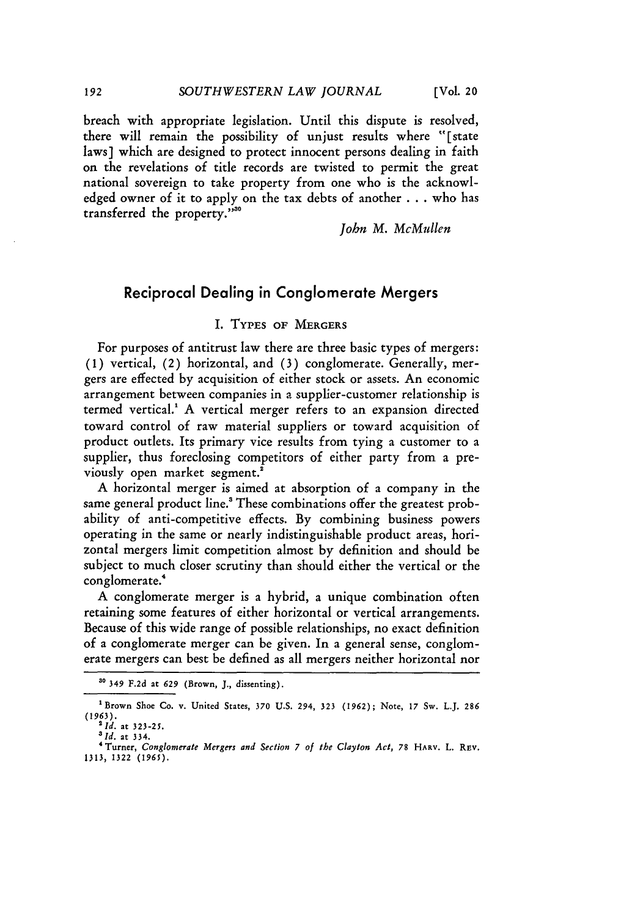breach with appropriate legislation. Until this dispute is resolved, there will remain the possibility of unjust results where "[state laws] which are designed to protect innocent persons dealing in faith on the revelations of title records are twisted to permit the great national sovereign to take property from one who is the acknowledged owner of it to apply on the tax debts of another . . who has transferred the property.""

*John M. McMullen*

## Reciprocal Dealing in Conglomerate Mergers

#### I. **TYPES OF** MERGERS

For purposes of antitrust law there are three basic types of mergers: (1) vertical, (2) horizontal, and (3) conglomerate. Generally, mergers are effected by acquisition of either stock or assets. An economic arrangement between companies in a supplier-customer relationship is termed vertical.<sup>1</sup> A vertical merger refers to an expansion directed toward control of raw material suppliers or toward acquisition of product outlets. Its primary vice results from tying a customer to a supplier, thus foreclosing competitors of either party from a previously open market segment.<sup>2</sup>

A horizontal merger is aimed at absorption of a company in the same general product line.<sup>8</sup> These combinations offer the greatest probability of anti-competitive effects. By combining business powers operating in the same or nearly indistinguishable product areas, horizontal mergers limit competition almost by definition and should be subject to much closer scrutiny than should either the vertical or the conglomerate.'

A conglomerate merger is a hybrid, a unique combination often retaining some features of either horizontal or vertical arrangements. Because of this wide range of possible relationships, no exact definition of a conglomerate merger can be given. In a general sense, conglomerate mergers can best be defined as all mergers neither horizontal nor

192

**<sup>30</sup> 349 F.2d** at **629** (Brown, **J.,** dissenting).

**<sup>1</sup>Brown** Shoe **Co. v.** United States, **370 U.S.** 294, **323 (1962);** Note, **17** Sw. **L.J. 286 (1963).** *<sup>2</sup> 1d.* at **323-25.** *<sup>3</sup> Id.* at **334.**

*<sup>&#</sup>x27;* Turner, *Conglomerate Mergers and Section 7 of the Clayton Act,* **78 HARV. L.** REv. **1313, 1322** *(1965).*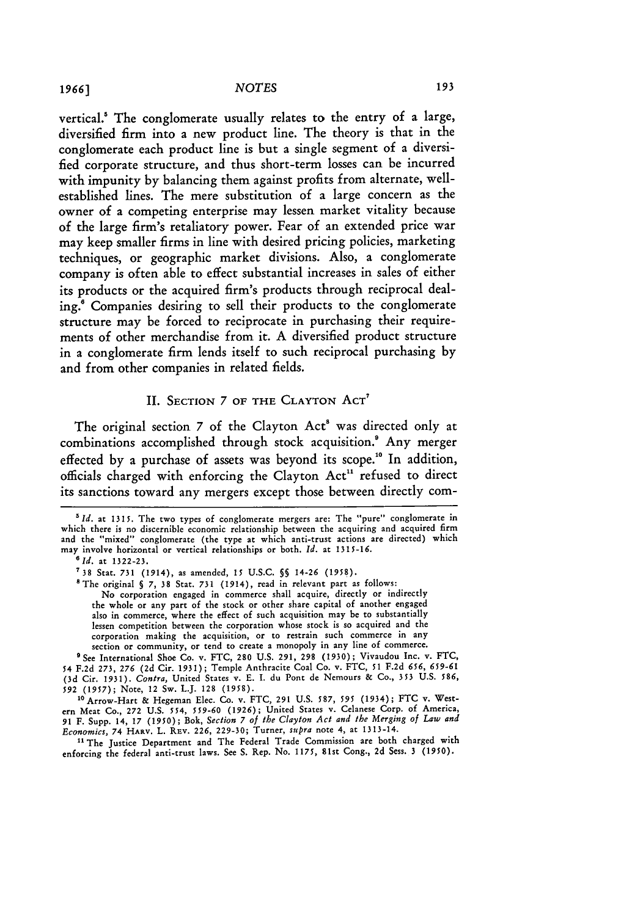vertical.' The conglomerate usually relates to the entry of a large, diversified firm into a new product line. The theory is that in the conglomerate each product line is but a single segment of a diversified corporate structure, and thus short-term losses can be incurred with impunity **by** balancing them against profits from alternate, wellestablished lines. The mere substitution of a large concern as the owner of a competing enterprise may lessen market vitality because of the large firm's retaliatory power. Fear of an extended price war may keep smaller firms in line with desired pricing policies, marketing techniques, or geographic market divisions. **Also,** a conglomerate company is often able to effect substantial increases in sales of either its products or the acquired firm's products through reciprocal dealing.' Companies desiring to sell their products to the conglomerate structure may be forced to reciprocate in purchasing their requirements of other merchandise from it. **A** diversified product structure in a conglomerate firm lends itself to such reciprocal purchasing **by** and from other companies in related fields.

## II. SECTION 7 OF THE CLAYTON ACT'

The original section 7 of the Clayton Act' was directed only at combinations accomplished through stock acquisition.' Any merger effected by a purchase of assets was beyond its scope." In addition, officials charged with enforcing the Clayton Act" refused to direct its sanctions toward any mergers except those between directly com-

'The original **§** *7,* **38** Stat. 731 (1914), read in relevant part as follows: No corporation engaged in commerce shall acquire, directly or indirectly the whole or any part of the stock or other share capital of another engaged also in commerce, where the effect of such acquisition may be to substantially lessen competition between the corporation whose stock is so acquired and the corporation making the acquisition, or to restrain such commerce in any section or community, or tend to create a monopoly in any line of commerce.

' See International Shoe Co. v. FTC, **280** U.S. 291, **298** (1930); Vivaudou Inc. v. FTC, 54 F.2d 273, 276 **(2d** Cir. 1931); Temple Anthracite Coal Co. v. FTC, **51** F.2d **656, 659-61 (3d** Cir. 1931). *Contra,* United States v. E. I. du Pont de Nemours & Co., **353** U.S. 586, *592* **(1957);** Note, 12 Sw. L.J. **128** (1958).

<sup>10</sup> Arrow-Hart & Hegeman Elec. Co. v. FTC, 291 U.S. 587, 595 (1934); FTC v. West-<br>ern Meat Co., 272 U.S. 554, 559-60 (1926); United States v. Celanese Corp. of America,<br>91 F. Supp. 14, 17 (1950); Bok, Section 7 of the Cla *Economics,* 74 HARv. L. REv. 226, **229-30;** Turner, *supra* note 4, at 1313-14.

<sup>11</sup> The Justice Department and The Federal Trade Commission are both charged with enforcing the federal anti-trust laws. See S. Rep. No. 1175, 81st Cong., 2d Sess. **3** (1950).

<sup>&</sup>lt;sup>5</sup> Id. at 1315. The two types of conglomerate mergers are: The "pure" conglomerate in which there is no discernible economic relationship between the acquiring and acquired firm and the "mixed" conglomerate (the type at which anti-trust actions are directed) which may involve horizontal or vertical relationships or both. *Id.* at 1315-16.

<sup>&</sup>lt;sup>6</sup> *Id.* at 1322-23.

**<sup>738</sup>** Star. **731** (1914), as amended, **15** U.S.C. *§* 14-26 **(1958).**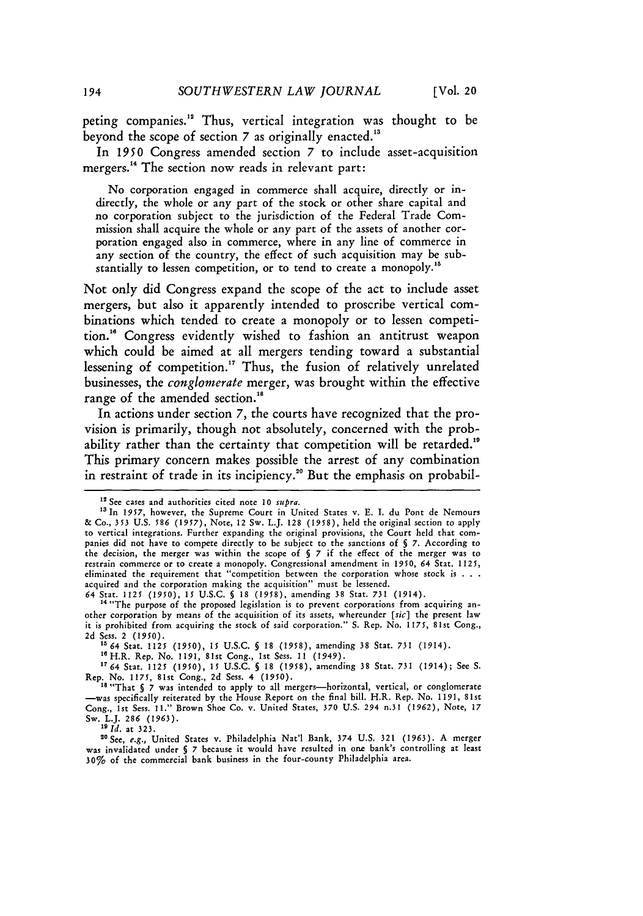peting companies." Thus, vertical integration was thought to be beyond the scope of section **7** as originally enacted."

In **1950** Congress amended section **7** to include asset-acquisition mergers.<sup>14</sup> The section now reads in relevant part:

No corporation engaged in commerce shall acquire, directly or indirectly, the whole or any part of the stock or other share capital and no corporation subject to the jurisdiction of the Federal Trade Commission shall acquire the whole or any part of the assets of another corporation engaged also in commerce, where in any line of commerce in any section of the country, the effect of such acquisition may be substantially to lessen competition, or to tend to create a monopoly.<sup>15</sup>

Not only did Congress expand the scope of the act to include asset mergers, but also it apparently intended to proscribe vertical combinations which tended to create a monopoly or to lessen competition.<sup>16</sup> Congress evidently wished to fashion an antitrust weapon which could be aimed at all mergers tending toward a substantial lessening of competition.<sup>17</sup> Thus, the fusion of relatively unrelated businesses, the *conglomerate* merger, was brought within the effective range of the amended section."

In actions under section *7,* the courts have recognized that the provision is primarily, though not absolutely, concerned with the probability rather than the certainty that competition will be retarded.<sup>19</sup> This primary concern makes possible the arrest of any combination in restraint of trade in its incipiency.<sup>20</sup> But the emphasis on probabil-

15 64 Stat. 1125 (1950), 15 U.S.C. § 18 (1958), amending 38 Stat. 731 (1914).

" H.R. Rep. No. 1191, 81st Cong., Ist Sess. 11 (1949). **<sup>1764</sup>**Stat. 1125 (1950), **15** U.S.C. **§** 18 (1958), amending 38 Stat. **731** (1914); See S. Rep. No. 1175, 81st Cong., 2d Sess. 4 (1950).<br><sup>18</sup> "That **§ 7** was intended to apply to all mergers-horizontal, vertical, or conglomerate

**9** *Id.* at **323.**

<sup>20</sup> See, *e.g.*, United States v. Philadelphia Nat'l Bank, 374 U.S. 321 (1963). A merger<br>was invalidated under § 7 because it would have resulted in one bank's controlling at least 30% of the commercial bank business in the four-county Philadelphia area.

<sup>&</sup>lt;sup>12</sup> See cases and authorities cited note 10 *supra*.

<sup>13</sup> In **1957,** however, the Supreme Court in United States v. E. I. du Pont de Nemours **&** Co., **353** U.S. **586** *(1957),* Note, 12 Sw. L.J. 128 (1958), held the original section to apply to vertical integrations. Further expanding the original provisions, the Court held that companies did not have to compete directly to **be** subject to the sanctions of **§ 7.** According to the decision, the merger was within the scope of **§ 7** if the effect of the merger was to restrain commerce or to create a monopoly. Congressional amendment in *1950,* 64 Stat. 1125, eliminated the requirement that "competition between the corporation whose stock is **. . .** acquired and the corporation making the acquisition" must be lessened.

<sup>64</sup> Stat. 1125 **(1950),** 15 U.S.C. **§** 18 (1958), amending 38 Stat. 731 (1914). '4 "The purpose of the proposed legislation is to prevent corporations from acquiring an-

other corporation **by** means of the acquisition of its assets, whereunder *[sic]* the present law it is prohibited from acquiring the stock of said corporation." S. Rep. No. *1175,* 81st Cong., 2d Sess. 2 **(1950).**

<sup>-</sup>was specifically reiterated **by** the House Report on the final bill. H.R. Rep. No. **1191,** 81st Cong., 1st Sess. 11." Brown Shoe Co. v. United States, **370** U.S. 294 n.31 **(1962),** Note, **17** Sw. L.J. 286 (1963).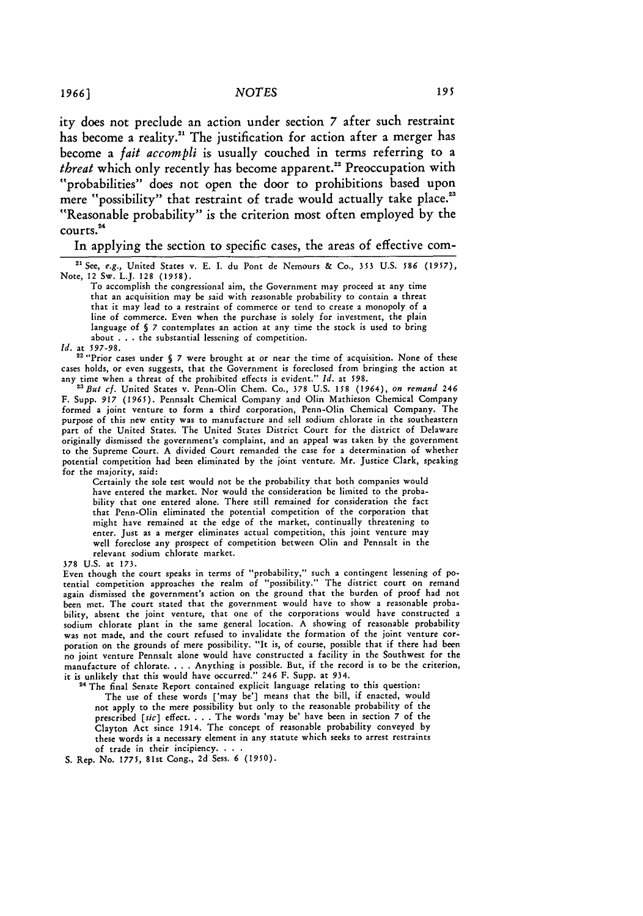ity does not preclude an action under section 7 after such restraint has become a reality.<sup>21</sup> The justification for action after a merger has become a *fait accompli* is usually couched in terms referring to a *threat* which only recently has become apparent.<sup>22</sup> Preoccupation with "probabilities" does not open the door to prohibitions based upon mere "possibility" that restraint of trade would actually take place.<sup>23</sup> "Reasonable probability" is the criterion most often employed by the courts.<sup>24</sup>

#### In applying the section to specific cases, the areas of effective com-

**<sup>21</sup>**See, *e.g.,* United States v. **E. I.** du Pont de Nemours & Co., **353** U.S. *586* (1957), Note, 12 Sw. L.J. **128 (1958).**

To accomplish the congressional aim, the Government may proceed at any time that an acquisition may be said with reasonable probability to contain a threat that it may lead to a restraint of commerce or tend to create a monopoly of a line of commerce. Even when the purchase is solely for investment, the plain language of *§* **7** contemplates an action at any time the stock is used to bring about **.. .**the substantial lessening of competition.

*Id.* at *597-98.* 2""Prior cases under **§ 7** were brought at or near the time of acquisition. None of these cases holds, or even suggests, that the Government is foreclosed from bringing the action at any time when a threat of the prohibited effects is evident." *Id.* at **598.** *<sup>2</sup> But cf.* United States v. Penn-Olin Chem. Co., **378 U.S. 158** (1964), *on remand 246*

F. Supp. *917* (1965). Pennsalt Chemical Company and Olin Mathieson Chemical Company formed a joint venture to form a third corporation, Penn-Olin Chemical Company. The purpose of this new entity was to manufacture and sell sodium chlorate in the southeastern part of the United States. The United States District Court for the district of Delaware originally dismissed the government's complaint, and an appeal was taken by the government to the Supreme Court. A divided Court remanded the case for a determination of whether potential competition had been eliminated by the joint venture. Mr. Justice Clark, speaking for the majority, said:

Certainly the sole test would not be the probability that both companies would have entered the market. Nor would the consideration **be** limited to the probability that one entered alone. There still remained for consideration the fact that Penn-Olin eliminated the potential competition of the corporation that might have remained at the **edge** of the market, continually threatening to enter. Just as a merger eliminates actual competition, this joint venture may well foreclose any prospect of competition between Olin and Pennsalt in the relevant sodium chlorate market.

#### **378 U.S.** at **173.**

Even though the court speaks in terms of "probability," such a contingent lessening of potential competition approaches the realm of "possibility." The district court on remand again dismissed the government's action on the ground that the burden of proof had not been met. The court stated that the government would have to show a reasonable probability, absent the joint venture, that one of the corporations would have constructed a sodium chlorate plant in the same general **location. A** showing **of** reasonable probability was not made, and the court refused to invalidate the formation of the joint venture corporation on the grounds of mere possibility. "It is, of course, possible that if there had been no joint venture Pennsalt alone would have constructed a facility in the Southwest for the manufacture of chlorate. . **.** .Anything is possible. But, if the record is to be the criterion, it is unlikely that this would have occurred." 246 F. Supp. at 934. 24 The final Senate Report contained explicit language relating to this question:

The use of these words ['may be'] means that the bill, if enacted, would not apply to the mere possibility but only to the reasonable probability of the prescribed *[sic]* effect. . **.** .The words 'may be' have been in section **7** of the Clayton Act since 1914. The concept of reasonable probability conveyed **by** these words is a necessary element in any statute which seeks to arrest restraints of trade in their incipiency. **...**

**S.** Rep. No. *1775,* 81st Cong., **2d** Sess. **6 (1950).**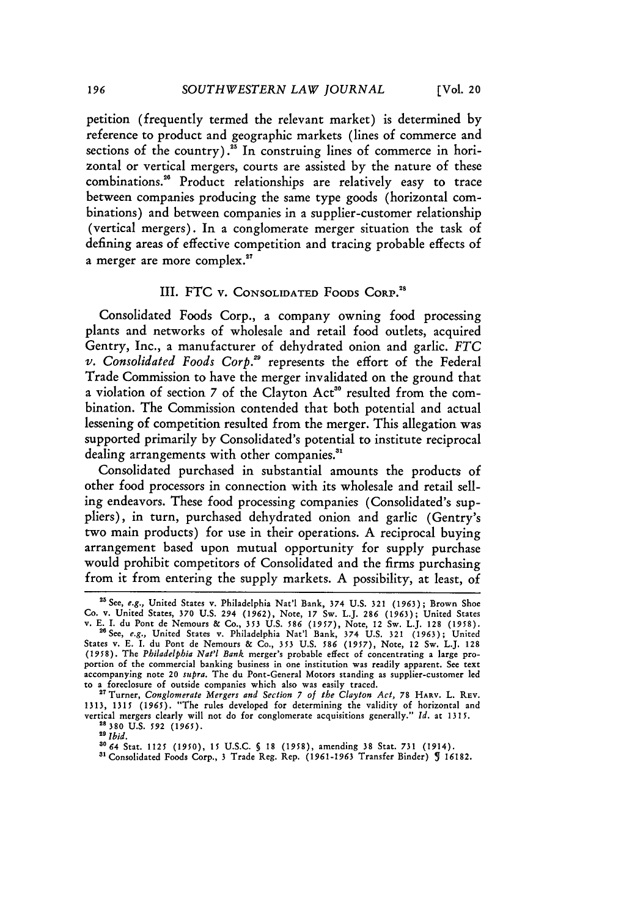petition (frequently termed the relevant market) is determined by reference to product and geographic markets (lines of commerce and sections of the country).<sup>25</sup> In construing lines of commerce in horizontal or vertical mergers, courts are assisted by the nature of these combinations."8 Product relationships are relatively easy to trace between companies producing the same type goods (horizontal combinations) and between companies in a supplier-customer relationship (vertical mergers). In a conglomerate merger situation the task of defining areas of effective competition and tracing probable effects of a merger are more complex.<sup>27</sup>

### III. FTC **v.** CONSOLIDATED FOODS CORP.<sup>28</sup>

Consolidated Foods Corp., a company owning food processing plants and networks of wholesale and retail food outlets, acquired Gentry, Inc., a manufacturer of dehydrated onion and garlic. *FTC v. Consolidated Foods Corp.'s* represents the effort of the Federal Trade Commission to have the merger invalidated on the ground that a violation of section 7 of the Clayton Act<sup>30</sup> resulted from the combination. The Commission contended that both potential and actual lessening of competition resulted from the merger. This allegation was supported primarily by Consolidated's potential to institute reciprocal dealing arrangements with other companies."

Consolidated purchased in substantial amounts the products of other food processors in connection with its wholesale and retail selling endeavors. These food processing companies (Consolidated's suppliers), in turn, purchased dehydrated onion and garlic (Gentry's two main products) for use in their operations. A reciprocal buying arrangement based upon mutual opportunity for supply purchase would prohibit competitors of Consolidated and the firms purchasing from it from entering the supply markets. A possibility, at least, of

*"T* Turner, *Conglomerate Mergers and Section 7 of the Clayton Act,* 78 **HARV.** L. REv. **1313,** 1315 *(1965).* "The rules developed for determining the validity of horizontal and vertical mergers clearly will not do for conglomerate acquisitions generally." *Id.* at 1315. **<sup>28380</sup>**U.S. **592** *(1965).*

a°64 Stat. 1125 *(1950),* **15** U.S.C. **§** 18 (1958), amending 38 Stat. 731 (1914).

**"l** Consolidated Foods Corp., 3 Trade Reg. Rep. (1961-1963 Transfer Binder) **5** 16182.

<sup>&</sup>lt;sup>25</sup> See, *e.g.*, United States v. Philadelphia Nat'l Bank, 374 U.S. 321 (1963); Brown Shoe Co. v. United States, **370** U.S. 294 **(1962),** Note, 17 Sw. L.J. **286 (1963);** United States v. E. T. du Pont de Nemours & Co., **353** U.S. **586 (1957),** Note, 12 Sw. L.J. 128 (1958).

<sup>&</sup>lt;sup>26</sup> See, e.g., United States v. Philadelphia Nat'l Bank, 374 U.S. 321 (1963); United States v. E. I. du Pont de Nemours & Co., **353** U.S. *586* (1957), Note, 12 Sw. L.J. 128 (1958). The *Philadelphia Nat'l Bank* merger's probable effect of concentrating a large proportion of the commercial banking business in one institution was readily apparent. See text accompanying note 20 *supra.* The du Pont-General Motors standing as supplier-customer led to a foreclosure of outside companies which also was easily traced.

*<sup>2</sup>s Ibid.*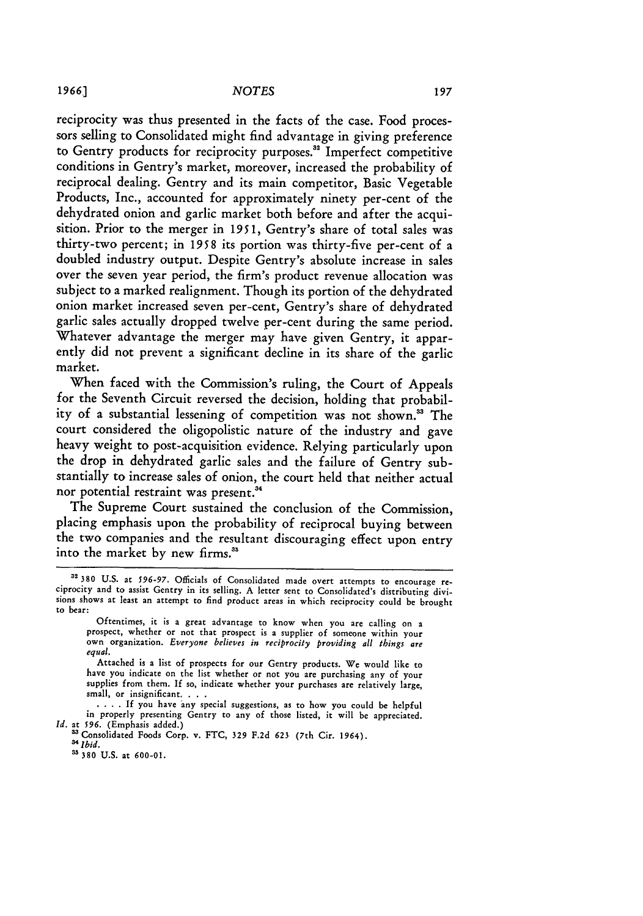reciprocity was thus presented in the facts of the case. Food processors selling to Consolidated might find advantage in giving preference to Gentry products for reciprocity purposes.<sup>32</sup> Imperfect competitive conditions in Gentry's market, moreover, increased the probability of reciprocal dealing. Gentry and its main competitor, Basic Vegetable Products, Inc., accounted for approximately ninety per-cent of the dehydrated onion and garlic market both before and after the acquisition. Prior to the merger in **1951,** Gentry's share of total sales was thirty-two percent; in **1958** its portion was thirty-five per-cent of a doubled industry output. Despite Gentry's absolute increase in sales over the seven year period, the firm's product revenue allocation was subject to a marked realignment. Though its portion of the dehydrated onion market increased seven per-cent, Gentry's share of dehydrated garlic sales actually dropped twelve per-cent during the same period. Whatever advantage the merger may have given Gentry, it apparently did not prevent a significant decline in its share of the garlic market.

When faced with the Commission's ruling, the Court of Appeals for the Seventh Circuit reversed the decision, holding that probability of a substantial lessening of competition was not shown." The court considered the oligopolistic nature of the industry and gave heavy weight to post-acquisition evidence. Relying particularly upon the drop in dehydrated garlic sales and the failure of Gentry substantially to increase sales of onion, the court held that neither actual nor potential restraint was present.<sup>34</sup>

The Supreme Court sustained the conclusion of the Commission, placing emphasis upon the probability of reciprocal buying between the two companies and the resultant discouraging effect upon entry into the market by new firms.<sup>35</sup>

**<sup>3 380</sup>** U.S. at *596-97.* Officials of Consolidated made overt attempts to encourage reciprocity and to assist Gentry in its selling. **A** letter sent to Consolidated's distributing divisions shows at least an attempt to find product areas in which reciprocity could **be** brought to bear:

Oftentimes, it is a great advantage to know when you are calling on a prospect, whether or not that prospect is a supplier of someone within your own organization. Everyone believes in reciprocity providing all things are *equal.*

Attached is a list of prospects for our Gentry products. We would like to have you indicate on the list whether or not you are purchasing any of your supplies from them. If so, indicate whether your purchases are relatively large, small, or insignificant.

<sup>....</sup> If you have any special suggestions, as to how you could be helpful in properly presenting Gentry to any of those listed, it will be appreciated. *Id.* at 596. (Emphasis added.)

<sup>33</sup> Consolidated Foods Corp. v. FTC, 329 F.2d 623 (7th Cir. 1964). <sup>34</sup>*Ibid.*

**<sup>3&#</sup>x27; 380 U.S.** at **600-01.**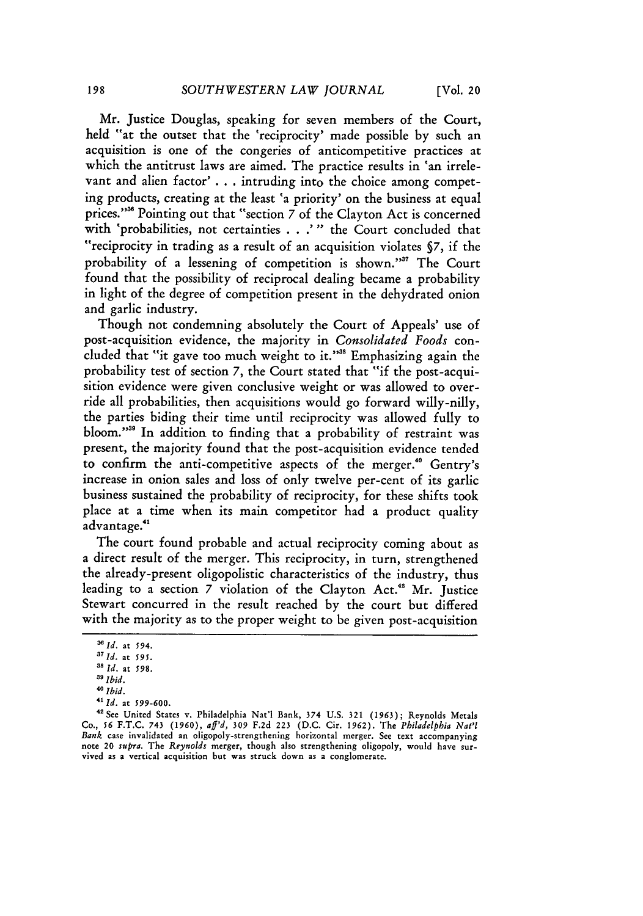Mr. Justice Douglas, speaking for seven members of the Court, held "at the outset that the 'reciprocity' made possible by such an acquisition is one of the congeries of anticompetitive practices at which the antitrust laws are aimed. The practice results in 'an irrelevant and alien factor' **. . .** intruding into the choice among competing products, creating at the least 'a priority' on the business at equal prices."<sup>36</sup> Pointing out that "section 7 of the Clayton Act is concerned with 'probabilities, not certainties **. . .'** " the Court concluded that "reciprocity in trading as a result of an acquisition violates *§7,* if the probability of a lessening of competition is shown."<sup>37</sup> The Court found that the possibility of reciprocal dealing became a probability in light of the degree of competition present in the dehydrated onion and garlic industry.

Though not condemning absolutely the Court of Appeals' use of post-acquisition evidence, the majority in *Consolidated Foods* concluded that "it gave too much weight to it."<sup>38</sup> Emphasizing again the probability test of section **7,** the Court stated that "if the post-acquisition evidence were given conclusive weight or was allowed to override all probabilities, then acquisitions would go forward willy-nilly, the parties biding their time until reciprocity was allowed fully to bloom."<sup>33</sup> In addition to finding that a probability of restraint was present, the majority found that the post-acquisition evidence tended to confirm the anti-competitive aspects of the merger.<sup>40</sup> Gentry's increase in onion sales and loss of only twelve per-cent of its garlic business sustained the probability of reciprocity, for these shifts took place at a time when its main competitor had a product quality advantage.<sup>41</sup>

The court found probable and actual reciprocity coming about as a direct result of the merger. This reciprocity, in turn, strengthened the already-present oligopolistic characteristics of the industry, thus leading to a section **7** violation of the Clayton Act." Mr. Justice Stewart concurred in the result reached by the court but differed with the majority as to the proper weight to be given post-acquisition

*<sup>3</sup>Id.* at **594.**

*<sup>&#</sup>x27;lid.* at *595.*

*<sup>1</sup>s Id.* at **598.**

*<sup>31</sup>Ibid.*

*<sup>40</sup> Ibid.*

*<sup>41</sup> Id.* at *599-600.*

**<sup>42</sup>**See United States v. Philadelphia Nat'l Bank, 374 U.S. 321 *(1963);* Reynolds Metals Co., **56** F.T.C. 743 (1960), *aff'd, 309* F.2d 223 (D.C. Cir. 1962). The *Philadelphia Nat'l* Bank case invalidated an oligopoly-strengthening horizontal merger. See text accompanying note 20 *supra.* The *Reynolds* merger, though also strengthening oligopoly, would have survived as a vertical acquisition but was struck down as a conglomerate.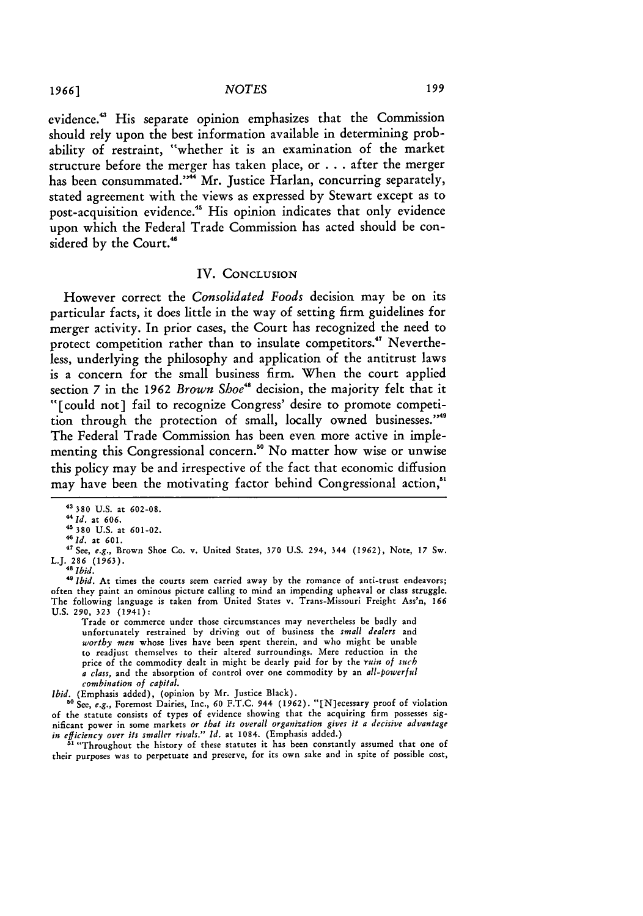evidence.<sup>43</sup> His separate opinion emphasizes that the Commission should rely upon the best information available in determining probability of restraint, "whether it is an examination of the market structure before the merger has taken place, or ... after the merger has been consummated."<sup>44</sup> Mr. Justice Harlan, concurring separately, stated agreement with the views as expressed by Stewart except as to post-acquisition evidence.<sup>45</sup> His opinion indicates that only evidence upon which the Federal Trade Commission has acted should be considered by the Court.<sup>46</sup>

#### IV. **CONCLUSION**

However correct the *Consolidated Foods* decision may be on its particular facts, it does little in the way of setting firm guidelines for merger activity. In prior cases, the Court has recognized the need to protect competition rather than to insulate competitors.<sup>47</sup> Nevertheless, underlying the philosophy and application of the antitrust laws is a concern for the small business firm. When the court applied section 7 in the **1962** *Brown Shoe"'* decision, the majority felt that it "[could not] fail to recognize Congress' desire to promote competition through the protection of small, locally owned businesses."<sup>49</sup> The Federal Trade Commission has been even more active in implementing this Congressional concern." No matter how wise or unwise this policy may be and irrespective of the fact that economic diffusion may have been the motivating factor behind Congressional action.<sup>51</sup>

Trade or commerce under those circumstances may nevertheless be badly and unfortunately restrained by driving out of business the *small dealers* and worthy men whose lives have been spent therein, and who might be unable to readjust themselves to their altered surroundings. Mere reduction in the price of the commodity dealt in might be dearly paid for by the *'ruin of such a class,* and the absorption of control over one commodity by an *all-powerful combination of capital.*

*Ibid.* (Emphasis added), (opinion by Mr. Justice Black). **'0** See, *e.g.,* Foremost Dairies, Inc., **60** F.T.C. 944 (1962). "[N]ecessary proof of violation of the statute consists of types of evidence showing that the acquiring firm possesses significant power in some markets *or that its overall organization gives it a decisive advantage in efficiency over its smaller rivals." Id.* at 1084. (Emphasis added.) **"** "Throughout the history of these statutes it has been constantly assumed that one of

their purposes was to perpetuate and preserve, for its own sake and in spite of possible cost,

**<sup>43380</sup>** U.S. at **602-08.**

<sup>44</sup>*Id.* at **606.** <sup>45380</sup>U.S. at **601-02.**

*<sup>46</sup>Id.* at **601.**

<sup>\*7</sup>See, *e.g.,* Brown Shoe Co. v. United States, **370** U.S. 294, 344 (1962), Note, 17 Sw. L.J. 286 (1963). **<sup>41</sup>***Ibid.*

<sup>&</sup>lt;sup>49</sup> *Ibid*. At times the courts seem carried away by the romance of anti-trust endeavors; often they paint an ominous picture calling to mind an impending upheaval or class struggle. The following language is taken from United States v. Trans-Missouri Freight Ass'n, 166 U.S. **290,** 323 (1941):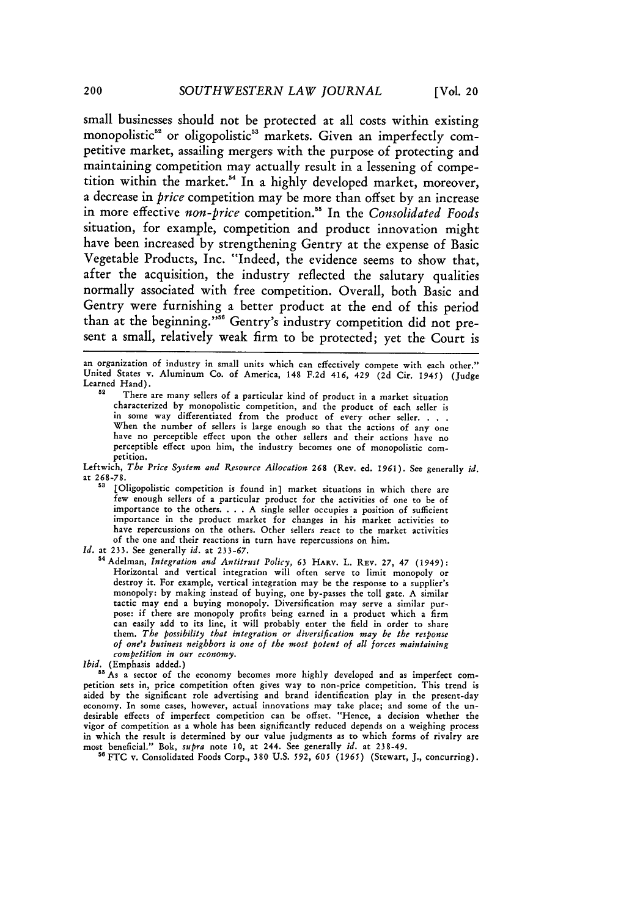small businesses should not be protected at all costs within existing monopolistic<sup>52</sup> or oligopolistic<sup>53</sup> markets. Given an imperfectly competitive market, assailing mergers with the purpose of protecting and maintaining competition may actually result in a lessening of competition within the market." In a highly developed market, moreover, a decrease in *price* competition may be more than offset by an increase in more effective *non-price* competition.5 In the *Consolidated Foods* situation, for example, competition and product innovation might have been increased by strengthening Gentry at the expense of Basic Vegetable Products, Inc. "Indeed, the evidence seems to show that, after the acquisition, the industry reflected the salutary qualities normally associated with free competition. Overall, both Basic and Gentry were furnishing a better product at the end of this period than at the beginning."<sup>56</sup> Gentry's industry competition did not present a small, relatively weak firm to be protected; yet the Court is

**an** organization of industry in small units which can effectively compete with each other." United States v. Aluminum Co. of America, 148 F.2d 416, 429 (2d Cir. 1945) (Judge Learned Hand).

**<sup>52</sup>**There are many sellers of a particular kind of product in a market situation characterized by monopolistic competition, and the product of each seller is in some way differentiated from the product of every other seller. . . . When the number of sellers is large enough so that the actions of any one have no perceptible effect upon the other sellers and their actions have no perceptible effect upon him, the industry becomes one of monopolistic competition.

Leftwich, *The Price System and Resource Allocation* **268** (Rev. ed. 1961). See generally *id.* at 268-78.

[Oligopolistic competition is found in] market situations in which there are few enough sellers of a particular product for the activities of one to be of importance to the others. . . . A single seller occupies a position of sufficient importance in the product market for changes in his market activities to importance in the others. Other sellers react to the market activities of the one and their reactions in turn have repercussions on him.

*Id.* at 233. See generally *id.* at 233-67.

<sup>54</sup> Adelman, *Integration and Antitrust Policy*, **63 HARV. L. REV. 27, 47 (1949)**<br>Horizontal and vertical integration will often serve to limit monopoly or destroy it. For example, vertical integration may be the response to a supplier's monopoly: by making instead of buying, one by-passes the toll gate. A similar tactic may end a buying monopoly. Diversification may serve a similar pur-<br>pose: if there are monopoly profits being earned in a product which a firm pose: if there are monopoly profits being earned in a product which a firm can easily add to its line, it will probably enter the field in order to share them. *The possibility that integration or diversification may be the response of one's business neighbors is one of the most potent of all forces maintaining competition in our economy.* 

<sup>55</sup> As a sector of the economy becomes more highly developed and as imperfect competition sets in, price competition often gives way to non-price competition. This trend is aided by the significant role advertising and brand identification play in the present-day economy. In some cases, however, actual innovations may take place; and some of the undesirable effects of imperfect competition can be offset. "Hence, a decision whether the vigor of competition as a whole has been significantly reduced depends on a weighing process in which the result is determined by our value judgments as to which forms of rivalry are most beneficial." Bok, *supra* note **10,** at 244. See generally *id.* at **238-49. "** FTC v. Consolidated Foods Corp., **380** U.S. 592, *605* (1965) (Stewart, J., concurring).

200

*Ibid.* (Emphasis added.)